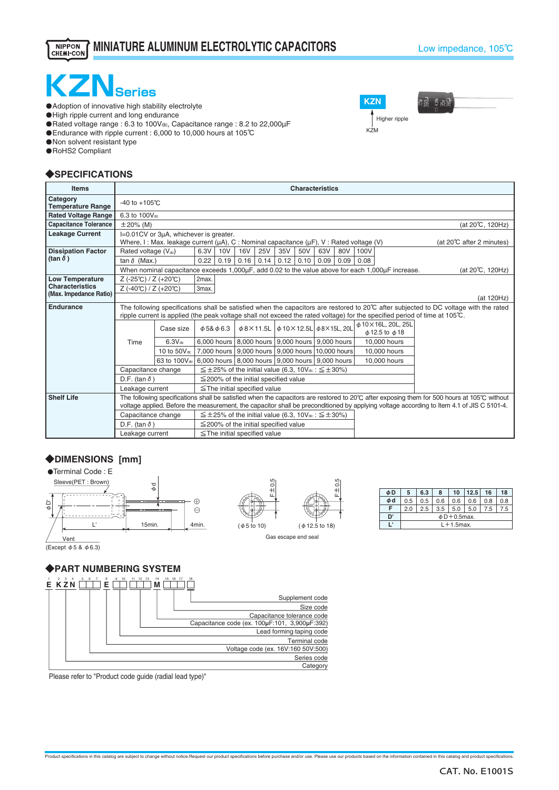#### NIPPON<br>CHEMI-CON **MINIATURE ALUMINUM ELECTROLYTIC CAPACITORS**

ថិត្តដឹ

Higher ripple

**KZN**

K<sub>7M</sub>



 $\bullet$  Adoption of innovative high stability electrolyte

・High ripple current and long endurance

・Rated voltage range : 6.3 to 100Vdc, Capacitance range : 8.2 to 22,000µF

・Endurance with ripple current : 6,000 to 10,000 hours at 105℃

**O** Non solvent resistant type

・RoHS2 Compliant

# ◆**SPECIFICATIONS**

| <b>Items</b>                         | <b>Characteristics</b>                                                                                                         |                                                                                                                                                                                                                         |                                                                                                                                                                              |                                                                                  |                                                       |            |                                                  |      |      |      |                                                              |  |                                                                                                                                           |  |
|--------------------------------------|--------------------------------------------------------------------------------------------------------------------------------|-------------------------------------------------------------------------------------------------------------------------------------------------------------------------------------------------------------------------|------------------------------------------------------------------------------------------------------------------------------------------------------------------------------|----------------------------------------------------------------------------------|-------------------------------------------------------|------------|--------------------------------------------------|------|------|------|--------------------------------------------------------------|--|-------------------------------------------------------------------------------------------------------------------------------------------|--|
| Category<br><b>Temperature Range</b> |                                                                                                                                | $-40$ to $+105^{\circ}$ C                                                                                                                                                                                               |                                                                                                                                                                              |                                                                                  |                                                       |            |                                                  |      |      |      |                                                              |  |                                                                                                                                           |  |
| <b>Rated Voltage Range</b>           |                                                                                                                                | 6.3 to 100Vdc                                                                                                                                                                                                           |                                                                                                                                                                              |                                                                                  |                                                       |            |                                                  |      |      |      |                                                              |  |                                                                                                                                           |  |
| <b>Capacitance Tolerance</b>         | $\pm 20\%$ (M)<br>(at 20℃, 120Hz)                                                                                              |                                                                                                                                                                                                                         |                                                                                                                                                                              |                                                                                  |                                                       |            |                                                  |      |      |      |                                                              |  |                                                                                                                                           |  |
| <b>Leakage Current</b>               | I=0.01CV or 3µA, whichever is greater.                                                                                         |                                                                                                                                                                                                                         |                                                                                                                                                                              |                                                                                  |                                                       |            |                                                  |      |      |      |                                                              |  |                                                                                                                                           |  |
|                                      | Where, I: Max. leakage current ( $\mu$ A), C: Nominal capacitance ( $\mu$ F), V: Rated voltage (V)<br>(at 20℃ after 2 minutes) |                                                                                                                                                                                                                         |                                                                                                                                                                              |                                                                                  |                                                       |            |                                                  |      |      |      |                                                              |  |                                                                                                                                           |  |
| <b>Dissipation Factor</b>            | Rated voltage (Vdc)                                                                                                            |                                                                                                                                                                                                                         | 6.3V                                                                                                                                                                         | 10V                                                                              | <b>16V</b>                                            | <b>25V</b> | 35V                                              | 50V  | 63V  | 80V  | 100V                                                         |  |                                                                                                                                           |  |
| (tan $\delta$ )                      | tan $\delta$ (Max.)                                                                                                            |                                                                                                                                                                                                                         | 0.22                                                                                                                                                                         | 0.19                                                                             | 0.16                                                  | 0.14       | 0.12                                             | 0.10 | 0.09 | 0.09 | 0.08                                                         |  |                                                                                                                                           |  |
|                                      |                                                                                                                                | When nominal capacitance exceeds 1,000µF, add 0.02 to the value above for each 1,000µF increase.<br>(at 20°C, 120Hz)                                                                                                    |                                                                                                                                                                              |                                                                                  |                                                       |            |                                                  |      |      |      |                                                              |  |                                                                                                                                           |  |
| <b>Low Temperature</b>               | $Z (-25°C) / Z (+20°C)$                                                                                                        |                                                                                                                                                                                                                         | 2max.                                                                                                                                                                        |                                                                                  |                                                       |            |                                                  |      |      |      |                                                              |  |                                                                                                                                           |  |
| <b>Characteristics</b>               | $Z (-40^{\circ}C)/Z (+20^{\circ}C)$<br>3max.                                                                                   |                                                                                                                                                                                                                         |                                                                                                                                                                              |                                                                                  |                                                       |            |                                                  |      |      |      |                                                              |  |                                                                                                                                           |  |
| (Max. Impedance Ratio)               |                                                                                                                                | (at 120Hz)                                                                                                                                                                                                              |                                                                                                                                                                              |                                                                                  |                                                       |            |                                                  |      |      |      |                                                              |  |                                                                                                                                           |  |
| <b>Endurance</b>                     |                                                                                                                                | The following specifications shall be satisfied when the capacitors are restored to 20°C after subjected to DC voltage with the rated                                                                                   |                                                                                                                                                                              |                                                                                  |                                                       |            |                                                  |      |      |      |                                                              |  |                                                                                                                                           |  |
|                                      |                                                                                                                                |                                                                                                                                                                                                                         |                                                                                                                                                                              |                                                                                  |                                                       |            |                                                  |      |      |      |                                                              |  | ripple current is applied (the peak voltage shall not exceed the rated voltage) for the specified period of time at 105°C.                |  |
|                                      |                                                                                                                                | Case size                                                                                                                                                                                                               | $\phi$ 5& $\phi$ 6.3                                                                                                                                                         |                                                                                  |                                                       |            | $\phi$ 8×11.5L $\phi$ 10×12.5L $\phi$ 8×15L, 20L |      |      |      | $\phi$ 10 $\times$ 16L, 20L, 25L<br>$\phi$ 12.5 to $\phi$ 18 |  |                                                                                                                                           |  |
|                                      | Time                                                                                                                           | 6.3V <sub>dc</sub>                                                                                                                                                                                                      |                                                                                                                                                                              |                                                                                  | 6,000 hours   8,000 hours   9,000 hours   9,000 hours |            |                                                  |      |      |      | 10,000 hours                                                 |  |                                                                                                                                           |  |
|                                      |                                                                                                                                | 10 to 50V <sub>dc</sub> 7,000 hours 9,000 hours 9,000 hours 10,000 hours                                                                                                                                                |                                                                                                                                                                              |                                                                                  |                                                       |            |                                                  |      |      |      | 10,000 hours                                                 |  |                                                                                                                                           |  |
|                                      |                                                                                                                                |                                                                                                                                                                                                                         |                                                                                                                                                                              |                                                                                  |                                                       |            |                                                  |      |      |      |                                                              |  |                                                                                                                                           |  |
|                                      |                                                                                                                                |                                                                                                                                                                                                                         | 63 to 100V <sub>dc</sub> 6,000 hours 8,000 hours 9,000 hours 9,000 hours<br>10,000 hours<br>$\leq \pm 25\%$ of the initial value (6.3, 10V <sub>dc</sub> : $\leq \pm 30\%$ ) |                                                                                  |                                                       |            |                                                  |      |      |      |                                                              |  |                                                                                                                                           |  |
|                                      | Capacitance change                                                                                                             |                                                                                                                                                                                                                         |                                                                                                                                                                              |                                                                                  |                                                       |            |                                                  |      |      |      |                                                              |  |                                                                                                                                           |  |
|                                      | D.F. (tan $\delta$ )<br>$\leq$ 200% of the initial specified value                                                             |                                                                                                                                                                                                                         |                                                                                                                                                                              |                                                                                  |                                                       |            |                                                  |      |      |      |                                                              |  |                                                                                                                                           |  |
|                                      |                                                                                                                                | Leakage current<br>$\le$ The initial specified value<br>The following specifications shall be satisfied when the capacitors are restored to 20 $\degree$ C after exposing them for 500 hours at 105 $\degree$ C without |                                                                                                                                                                              |                                                                                  |                                                       |            |                                                  |      |      |      |                                                              |  |                                                                                                                                           |  |
| <b>Shelf Life</b>                    |                                                                                                                                |                                                                                                                                                                                                                         |                                                                                                                                                                              |                                                                                  |                                                       |            |                                                  |      |      |      |                                                              |  | voltage applied. Before the measurement, the capacitor shall be preconditioned by applying voltage according to Item 4.1 of JIS C 5101-4. |  |
|                                      | Capacitance change                                                                                                             |                                                                                                                                                                                                                         |                                                                                                                                                                              | $\leq \pm 25\%$ of the initial value (6.3, 10V <sup>tt</sup> : $\leq \pm 30\%$ ) |                                                       |            |                                                  |      |      |      |                                                              |  |                                                                                                                                           |  |
|                                      | D.F. (tan $\delta$ )                                                                                                           |                                                                                                                                                                                                                         | $\leq$ 200% of the initial specified value                                                                                                                                   |                                                                                  |                                                       |            |                                                  |      |      |      |                                                              |  |                                                                                                                                           |  |
|                                      | Leakage current                                                                                                                |                                                                                                                                                                                                                         | $\le$ The initial specified value                                                                                                                                            |                                                                                  |                                                       |            |                                                  |      |      |      |                                                              |  |                                                                                                                                           |  |

 $F \pm 0.5$ 

# ◆**DIMENSIONS [mm]**



| φD | 5         | 6.3                 | 8   |     | 10   12.5 | 16  | 18 |  |  |  |  |  |
|----|-----------|---------------------|-----|-----|-----------|-----|----|--|--|--|--|--|
| φd | 0.5       | 0.5                 | 0.6 | 0.6 | 0.6       | 0.8 |    |  |  |  |  |  |
|    | 2.0       | 2.5                 | 3.5 | 5.0 | 5.0       | 7.5 |    |  |  |  |  |  |
| D  |           | $\phi$ D + 0.5 max. |     |     |           |     |    |  |  |  |  |  |
|    | L+1.5max. |                     |     |     |           |     |    |  |  |  |  |  |

# ◆**PART NUMBERING SYSTEM**



Please refer to "Product code guide (radial lead type)"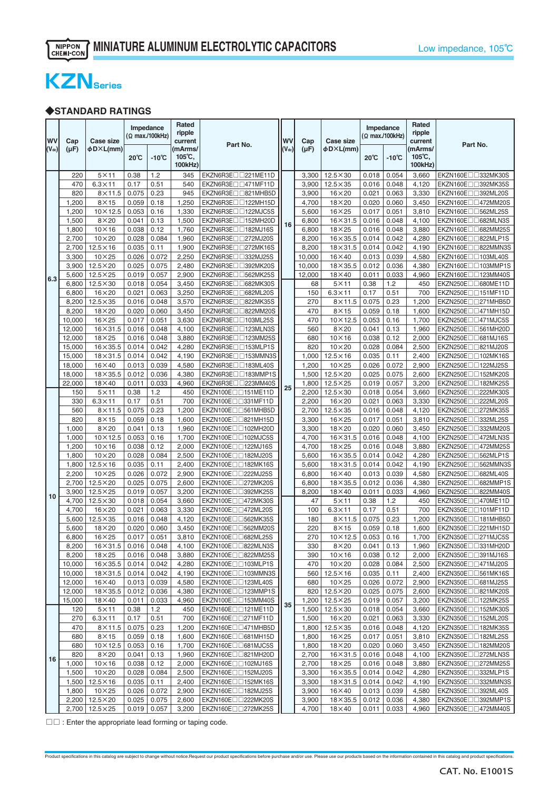

# ◆**STANDARD RATINGS**

| <b>WV</b><br>$(V_{dc})$ | Cap<br>(µF)   | Case size<br>φD×L(mm)                     |                | Impedance<br>(Ω max./100kHz) | Rated<br>ripple<br>current<br>(mArms/ | Part No.                                                         | <b>WV</b><br>$(V_{dc})$ | Cap<br>$(\mu F)$ | <b>Case size</b><br>φD×L(mm)       |                | Impedance<br>(Ω max./100kHz) | Rated<br>ripple<br>current<br>(mArms/ | Part No.                                             |
|-------------------------|---------------|-------------------------------------------|----------------|------------------------------|---------------------------------------|------------------------------------------------------------------|-------------------------|------------------|------------------------------------|----------------|------------------------------|---------------------------------------|------------------------------------------------------|
|                         |               |                                           | 20°C           | $-10^{\circ}$ C              | $105^{\circ}$ C,<br>100kHz)           |                                                                  |                         |                  |                                    | $20^{\circ}$ C | $-10^{\circ}$ C              | $105^{\circ}$ C,<br>100kHz)           |                                                      |
|                         | 220           | $5\times11$                               | 0.38           | 1.2                          | 345                                   | EKZN6R3E <sub>1221</sub> ME11D                                   |                         | 3,300            | $12.5 \times 30$                   | 0.018          | 0.054                        | 3,660                                 | EKZN160E□□332MK30S                                   |
|                         | 470           | $6.3 \times 11$                           | 0.17           | 0.51                         | 540                                   | EKZN6R3E <sub>1471</sub> MF11D                                   |                         | 3,900            | $12.5\times35$                     | 0.016          | 0.048                        | 4,120                                 | EKZN160E□□392MK35S                                   |
|                         | 820           | $8\times11.5$                             | 0.075          | 0.23                         | 945                                   | EKZN6R3E <sub>U</sub> 821MHB5D                                   |                         | 3,900            | $16\times20$                       | 0.021          | 0.063                        | 3,330                                 | EKZN160End392ML20S                                   |
|                         | 1,200         | $8\times15$                               | 0.059          | 0.18                         | 1,250                                 | EKZN6R3E <sub>122MH15</sub> D                                    |                         | 4,700            | $18\times20$                       | 0.020          | 0.060                        | 3,450                                 | EKZN160E <sub>1472</sub> MM20S                       |
|                         | 1,200         | $10\times12.5$                            | 0.053          | 0.16                         | 1,330                                 | EKZN6R3E <sub>1122MJC5S</sub>                                    |                         | 5,600            | $16\times25$                       | 0.017          | 0.051                        | 3,810                                 | EKZN160E <sub>1362</sub> ML25S                       |
|                         | 1,500         | $8\times20$                               | 0.041          | 0.13                         | 1,500                                 | EKZN6R3E <sub>U</sub> 152MH20D                                   | 16                      | 6,800            | $16 \times 31.5$                   | 0.016          | 0.048                        | 4,100                                 | EKZN160E <sub>D</sub> G82MLN3S                       |
|                         | 1,800         | $10\times16$                              | 0.038          | 0.12                         | 1,760                                 | EKZN6R3E <sub>DD</sub> 182MJ16S                                  |                         | 6,800            | $18\times25$                       | 0.016          | 0.048                        | 3,880                                 | EKZN160E <sub>D</sub> 682MM25S                       |
|                         | 2,700         | $10\times20$                              | 0.028          | 0.084                        | 1,960                                 | EKZN6R3E <sub>D</sub> 272MJ20S                                   |                         | 8,200            | $16\times35.5$                     | 0.014          | 0.042                        | 4,280                                 | EKZN160E <sub>09</sub> 822MLP1S                      |
|                         | 2,700         | $12.5\times16$                            | 0.035          | 0.11                         | 1,900                                 | EKZN6R3E <sub>D</sub> <sub>272MK16S</sub>                        |                         | 8,200            | $18\times31.5$                     | 0.014          | 0.042                        | 4,190                                 | EKZN160E <sub>II</sub> 322MMN3S                      |
|                         | 3,300         | $10\times25$                              | 0.026          | 0.072                        | 2,250                                 | EKZN6R3EII332MJ25S                                               |                         | 10,000           | $16\times 40$                      | 0.013          | 0.039                        | 4,580                                 | EKZN160E <sub>U</sub> 103ML40S                       |
|                         | 3,900         | $12.5\times20$                            | 0.025          | 0.075                        | 2,480                                 | EKZN6R3E <sub>1392</sub> MK20S                                   |                         | 10,000           | $18\times35.5$                     | 0.012          | 0.036                        | 4,380                                 | EKZN160E <sub>1103</sub> MMP1S                       |
| 6.3                     | 5,600         | $12.5\times25$                            | 0.019          | 0.057                        | 2,900                                 | EKZN6R3E <sub>1362</sub> MK25S                                   |                         | 12,000           | $18\times40$                       | 0.011          | 0.033                        | 4,960                                 | EKZN160E <sub>1123</sub> MM40S                       |
|                         | 6,800         | $12.5\times30$                            | 0.018          | 0.054                        | 3,450                                 | EKZN6R3E <sub>U</sub> 682MK30S                                   |                         | 68               | $5 \times 11$                      | 0.38           | 1.2                          | 450                                   | EKZN250E <sub>U</sub> 680ME11D                       |
|                         | 6,800         | $16\times20$                              | 0.021          | 0.063                        | 3,250                                 | EKZN6R3E <sub>DD682</sub> ML20S                                  |                         | 150              | $6.3 \times 11$                    | 0.17           | 0.51                         | 700                                   | EKZN250E <sub>U</sub> 151MF11D                       |
|                         | 8,200         | $12.5 \times 35$                          | 0.016          | 0.048                        | 3,570                                 | EKZN6R3E <sub>D</sub> B22MK35S                                   |                         | 270              | $8\times11.5$                      | 0.075          | 0.23                         | 1,200                                 | EKZN250E□□271MHB5D                                   |
|                         | 8,200         | $18\times20$                              | 0.020          | 0.060                        | 3,450                                 | EKZN6R3E <sub>1322MM20S</sub>                                    |                         | 470              | $8\times15$                        | 0.059          | 0.18                         | 1,600                                 | EKZN250E□□471MH15D                                   |
|                         | 10,000        | $16\times25$                              | 0.017          | 0.051                        | 3,630                                 | EKZN6R3E <sub>103ML25S</sub>                                     |                         | 470              | $10\times12.5$                     | 0.053          | 0.16                         | 1,700                                 | EKZN250E <sub>U</sub> 471MJC5S                       |
|                         | 12,000        | $16\times31.5$                            | 0.016          | 0.048                        | 4,100                                 | EKZN6R3E <sub>123MLN3S</sub>                                     |                         | 560              | $8\times20$                        | 0.041          | 0.13                         | 1,960                                 | EKZN250E <sub>DD561</sub> MH20D                      |
|                         | 12,000        | $18\times25$                              | 0.016          | 0.048                        | 3,880                                 | EKZN6R3E <sub>123MM25S</sub>                                     |                         | 680              | $10\times16$                       | 0.038          | 0.12                         | 2,000                                 | EKZN250E <sub>II</sub> 681MJ16S                      |
|                         | 15,000        | $16\times35.5$                            | 0.014          | 0.042                        | 4,280                                 | EKZN6R3EII153MLP1S                                               |                         | 820              | $10\times 20$                      | 0.028          | 0.084                        | 2,500                                 | EKZN250E <sub>U</sub> B21MJ20S                       |
|                         | 15,000        | $18\times31.5$                            | 0.014          | 0.042                        | 4,190                                 | EKZN6R3E <sub>U</sub> 153MMN3S                                   |                         | 1,000            | $12.5\times16$                     | 0.035          | 0.11                         | 2,400                                 | EKZN250E <sub>U</sub> 102MK16S                       |
|                         | 18,000        | $16\times 40$                             | 0.013          | 0.039                        | 4,580                                 | EKZN6R3E <sub>1183ML40S</sub>                                    |                         | 1,200            | $10\times25$                       | 0.026          | 0.072                        | 2,900                                 | EKZN250E <sub>1122MJ25S</sub>                        |
|                         | 18,000        | $18\times35.5$                            | 0.012<br>0.011 | 0.036<br>0.033               | 4,380                                 | EKZN6R3E <sub>1183</sub> MMP1S<br>EKZN6R3E <sub>D</sub> 223MM40S |                         | 1,500            | $12.5\times20$                     | 0.025          | 0.075                        | 2,600                                 | EKZN250E□□152MK20S                                   |
|                         | 22,000<br>150 | $18\times 40$<br>$5\times11$              | 0.38           | 1.2                          | 4,960<br>450                          | EKZN100E <sub>1151</sub> ME11D                                   | 25                      | 1,800<br>2,200   | $12.5\times25$<br>$12.5 \times 30$ | 0.019<br>0.018 | 0.057<br>0.054               | 3,200<br>3,660                        | EKZN250E□□182MK25S<br>EKZN250E <sub>1222MK30S</sub>  |
|                         | 330           | $6.3 \times 11$                           | 0.17           | 0.51                         | 700                                   | EKZN100E <sub>U</sub> 331MF11D                                   |                         | 2,200            | $16\times20$                       | 0.021          | 0.063                        | 3,330                                 | EKZN250E <sub>1222ML20S</sub>                        |
|                         | 560           | $8\times11.5$                             | 0.075          | 0.23                         | 1,200                                 | EKZN100E <sub>U</sub> 561MHB5D                                   |                         | 2,700            | $12.5 \times 35$                   | 0.016          | 0.048                        | 4,120                                 | EKZN250E <sub>U</sub> 272MK35S                       |
|                         | 820           | $8\times15$                               | 0.059          | 0.18                         | 1,600                                 | EKZN100E <sub>U</sub> B21MH15D                                   |                         | 3,300            | $16\times25$                       | 0.017          | 0.051                        | 3,810                                 | EKZN250E <sub>U</sub> 332ML25S                       |
|                         | 1,000         | $8\times20$                               | 0.041          | 0.13                         | 1,960                                 | EKZN100E <sub>1102</sub> MH20D                                   |                         | 3,300            | $18\times20$                       | 0.020          | 0.060                        | 3,450                                 | EKZN250E <sub>DD332</sub> MM20S                      |
|                         | 1,000         | $10\times12.5$                            | 0.053          | 0.16                         | 1,700                                 | EKZN100E <sub>1102MJC5S</sub>                                    |                         | 4,700            | $16 \times 31.5$                   | 0.016          | 0.048                        | 4,100                                 | EKZN250E□□472MLN3S                                   |
|                         | 1,200         | $10\times16$                              | 0.038          | 0.12                         | 2,000                                 | EKZN100E <sub>U</sub> 122MJ16S                                   |                         | 4,700            | $18\times25$                       | 0.016          | 0.048                        | 3,880                                 | EKZN250E□□472MM25S                                   |
|                         | 1,800         | $10\times20$                              | 0.028          | 0.084                        | 2,500                                 | EKZN100E <sub>III</sub> 182MJ20S                                 |                         | 5,600            | $16\times35.5$                     | 0.014          | 0.042                        | 4,280                                 | EKZN250E <sub>DD562</sub> MLP1S                      |
|                         | 1,800         | $12.5 \times 16$                          | 0.035          | 0.11                         | 2,400                                 | EKZN100E <sub>1182</sub> MK16S                                   |                         | 5,600            | $18\times31.5$                     | 0.014          | 0.042                        | 4,190                                 | EKZN250E <sub>II</sub> J562MMN3S                     |
|                         | 2,200         | $10\times25$                              | 0.026          | 0.072                        | 2,900                                 | EKZN100E <sub>U</sub> 222MJ25S                                   |                         | 6,800            | $16\times 40$                      | 0.013          | 0.039                        | 4,580                                 | EKZN250E <sub>U</sub> 682ML40S                       |
|                         | 2,700         | $12.5\times20$                            | 0.025          | 0.075                        | 2,600                                 | EKZN100E <sub>U</sub> 272MK20S                                   |                         | 6,800            | $18\times35.5$                     | 0.012          | 0.036                        | 4,380                                 | EKZN250E <sub>D</sub> 682MMP1S                       |
|                         | 3,900         | $12.5\times25$                            | 0.019          | 0.057                        | 3,200                                 | EKZN100E <sub>1392</sub> MK25S                                   |                         | 8,200            | $18\times 40$                      | 0.011          | 0.033                        | 4,960                                 | EKZN250E <sub>D</sub> B22MM40S                       |
| 10                      | 4,700         | $12.5 \times 30$                          | 0.018          | 0.054                        | 3,660                                 | EKZN100E <sub>11472</sub> MK30S                                  |                         | 47               | $5\times11$                        | 0.38           | 1.2                          | 450                                   | EKZN350E <sub>D</sub> _470ME11D                      |
|                         | 4,700         | $16\times20$                              | 0.021          | 0.063                        | 3,330                                 | EKZN100E <sub>U</sub> 472ML20S                                   |                         | 100              | $6.3 \times 11$                    | 0.17           | 0.51                         | 700                                   | EKZN350E <sub>U</sub> 101MF11D                       |
|                         | 5,600         | $12.5 \times 35$                          | 0.016          | 0.048                        | 4,120                                 | EKZN100E <sub>11562</sub> MK35S                                  |                         | 180              | $8\times11.5$                      | 0.075          | 0.23                         | 1,200                                 | EKZN350E <sub>00</sub> 181MHB5D                      |
|                         | 5,600         | $18\times20$                              | 0.020          | 0.060                        | 3,450                                 | EKZN100E <sub>1562</sub> MM20S                                   |                         | 220              | $8\times15$                        | 0.059          | 0.18                         | 1,600                                 | EKZN350E <sub>1221</sub> MH15D                       |
|                         | 6,800         | $16\times25$                              | 0.017          | 0.051                        | 3,810                                 | EKZN100EIIG82ML25S                                               |                         | 270              | $10 \times 12.5$                   | 0.053          | 0.16                         | 1,700                                 | EKZN350E <sub>U271MJC5S</sub>                        |
|                         | 8,200         | $16 \times 31.5$ 0.016                    |                | 0.048                        | 4,100                                 | EKZN100EIII822MLN3S                                              |                         | 330              | $8\times20$                        | 0.041          | 0.13                         | 1,960                                 | EKZN350E00331MH20D                                   |
|                         | 8,200         | $18\times25$                              | 0.016          | 0.048                        | 3,880                                 | EKZN100E <sub>1322MM25S</sub>                                    |                         | 390              | $10\times16$                       | 0.038          | 0.12                         | 2,000                                 | EKZN350E <sub>[1391MJ16S]</sub>                      |
|                         | 10,000        | $16\times35.5$                            | 0.014          | 0.042                        | 4,280                                 | EKZN100E <sub>00103</sub> MLP1S                                  |                         | 470              | $10\times20$                       | 0.028          | 0.084                        | 2,500                                 | EKZN350E <sub>1471</sub> MJ20S                       |
|                         | 10,000        | $18\times31.5$                            | 0.014          | 0.042                        | 4,190                                 | EKZN100E <sub>00</sub> 103MMN3S                                  |                         | 560              | $12.5\times16$                     | 0.035          | 0.11                         | 2,400                                 | EKZN350E <sub>U</sub> 561MK16S                       |
|                         | 12,000        | $16\times40$                              | 0.013          | 0.039                        | 4,580                                 | EKZN100E <sub>D</sub> 123ML40S                                   |                         | 680              | $10\times25$                       | 0.026          | 0.072                        | 2,900                                 | EKZN350E <sub>10681</sub> MJ25S                      |
|                         | 12,000        | $18\times35.5$                            | 0.012          | 0.036                        | 4,380                                 | EKZN100E <sub>1123</sub> MMP1S                                   |                         | 820              | $12.5\times20$                     | 0.025          | 0.075                        | 2,600                                 | EKZN350E <sub>D</sub> B21MK20S                       |
|                         | 15,000        | $18\times40$                              | 0.011          | 0.033                        | 4,960                                 | EKZN100E $\square \square$ 153MM40S                              | 35                      | 1,200            | $12.5\times25$                     | 0.019          | 0.057                        | 3,200                                 | EKZN350E <sub>U</sub> 122MK25S                       |
|                         | 120           | $5\times11$                               | 0.38           | 1.2                          | 450                                   | EKZN160Enn121ME11D                                               |                         | 1,500            | $12.5 \times 30$                   | 0.018          | 0.054                        | 3,660                                 | EKZN350E <sub>U</sub> 152MK30S                       |
|                         | 270           | $6.3 \times 11$                           | 0.17           | 0.51                         | 700                                   | EKZN160E <sub>D</sub> 271MF11D                                   |                         | 1,500            | $16\times20$                       | 0.021          | 0.063                        | 3,330                                 | EKZN350E <sub>1152ML20S</sub>                        |
|                         | 470           | $8\times11.5$                             | 0.075          | 0.23                         | 1,200                                 | EKZN160E <sub>1471</sub> MHB5D                                   |                         | 1,800            | $12.5 \times 35$                   | 0.016          | 0.048                        | 4,120                                 | EKZN350E□□182MK35S                                   |
|                         | 680           | $8\times15$                               | 0.059          | 0.18                         | 1,600                                 | EKZN160E <sub>U0681</sub> MH15D                                  |                         | 1,800            | $16\times25$                       | 0.017          | 0.051                        | 3,810                                 | EKZN350E <sub>U</sub> 182ML25S                       |
|                         | 680           | $10\times12.5$                            | 0.053          | 0.16                         | 1,700                                 | EKZN160E <sub>10681</sub> MJC5S                                  |                         | 1,800            | $18\times20$                       | 0.020          | 0.060                        | 3,450                                 | EKZN350E <sub>1182</sub> MM20S                       |
| 16                      | 820           | $8\times20$                               | 0.041          | 0.13                         | 1,960                                 | EKZN160E <sub>D</sub> B21MH20D                                   |                         | 2,700            | $16\times31.5$                     | 0.016          | 0.048                        | 4,100                                 | EKZN350E <sub>1272</sub> MLN3S                       |
|                         | 1,000         | $10\times16$                              | 0.038          | 0.12                         | 2,000                                 | EKZN160E $\Box$ 102MJ16S                                         |                         | 2,700            | $18\times25$                       | 0.016          | 0.048                        | 3,880                                 | EKZN350EIII272MM25S                                  |
|                         | 1,500         | $10\times20$                              | 0.028          | 0.084                        | 2,500                                 | EKZN160E <sub>1152MJ20S</sub>                                    |                         | 3,300            | $16\times35.5$                     | 0.014          | 0.042                        | 4,280                                 | EKZN350E <sub>1332</sub> MLP1S                       |
|                         | 1,500         | $12.5 \times 16$                          | 0.035          | 0.11                         | 2,400                                 | EKZN160E <sub>1152</sub> MK16S                                   |                         | 3,300            | $18\times31.5$                     | 0.014          | 0.042                        | 4,190                                 | EKZN350E <sub>D</sub> B32MMN3S                       |
|                         | 1,800         | $10\times25$                              | 0.026          | 0.072                        | 2,900                                 | EKZN160E $\Box$ 182MJ25S                                         |                         | 3,900            | $16\times40$                       | 0.013          | 0.039                        | 4,580                                 | EKZN350E $\square$ 392ML40S                          |
|                         |               | 2,200 12.5×20<br>$2,700$ 12.5 $\times$ 25 | 0.025<br>0.019 | 0.075<br>0.057               | 2,600<br>3,200                        | EKZN160EII222MK20S<br>EKZN160E <sub>D</sub> 272MK25S             |                         | 3,900<br>4,700   | $18\times35.5$<br>$18\times40$     | 0.012<br>0.011 | 0.036<br>0.033               | 4,380<br>4,960                        | EKZN350E <sub>U392</sub> MMP1S<br>EKZN350E□□472MM40S |
|                         |               |                                           |                |                              |                                       |                                                                  |                         |                  |                                    |                |                              |                                       |                                                      |

 $\square\square$  : Enter the appropriate lead forming or taping code.